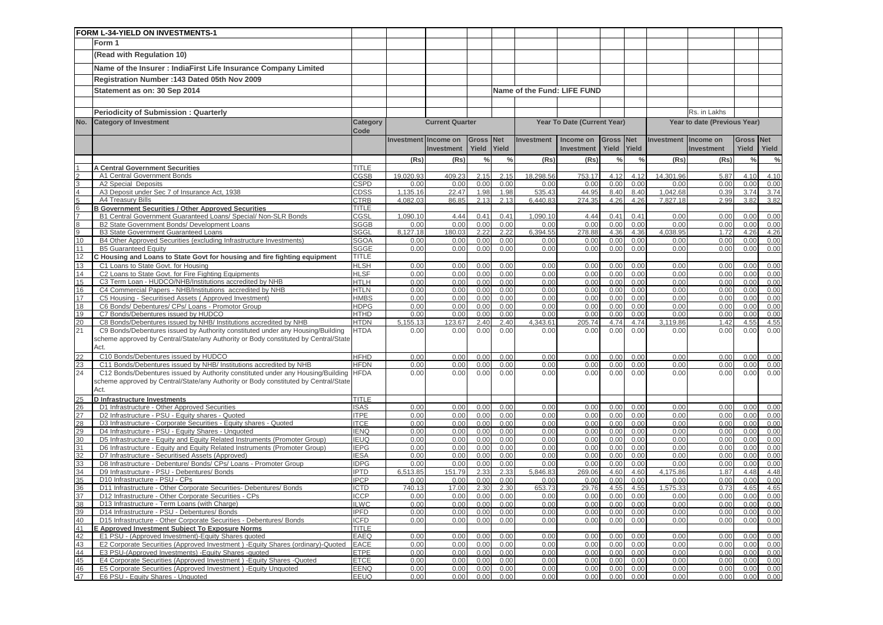|                 | FORM L-34-YIELD ON INVESTMENTS-1                                                                                                                    |                            |                      |                        |               |               |                  |                             |               |               |                  |                              |               |               |
|-----------------|-----------------------------------------------------------------------------------------------------------------------------------------------------|----------------------------|----------------------|------------------------|---------------|---------------|------------------|-----------------------------|---------------|---------------|------------------|------------------------------|---------------|---------------|
|                 | Form 1                                                                                                                                              |                            |                      |                        |               |               |                  |                             |               |               |                  |                              |               |               |
|                 | (Read with Regulation 10)                                                                                                                           |                            |                      |                        |               |               |                  |                             |               |               |                  |                              |               |               |
|                 | Name of the Insurer : IndiaFirst Life Insurance Company Limited                                                                                     |                            |                      |                        |               |               |                  |                             |               |               |                  |                              |               |               |
|                 | Registration Number: 143 Dated 05th Nov 2009                                                                                                        |                            |                      |                        |               |               |                  |                             |               |               |                  |                              |               |               |
|                 | Statement as on: 30 Sep 2014                                                                                                                        |                            |                      |                        |               |               |                  | Name of the Fund: LIFE FUND |               |               |                  |                              |               |               |
|                 |                                                                                                                                                     |                            |                      |                        |               |               |                  |                             |               |               |                  |                              |               |               |
|                 |                                                                                                                                                     |                            |                      |                        |               |               |                  |                             |               |               |                  | Rs. in Lakhs                 |               |               |
|                 | <b>Periodicity of Submission: Quarterly</b>                                                                                                         |                            |                      |                        |               |               |                  |                             |               |               |                  |                              |               |               |
| No.             | <b>Category of Investment</b>                                                                                                                       | Category<br>Code           |                      | <b>Current Quarter</b> |               |               |                  | Year To Date (Current Year) |               |               |                  | Year to date (Previous Year) |               |               |
|                 |                                                                                                                                                     |                            | Investment Income on |                        | <b>Gross</b>  | <b>Net</b>    | Investment       | Income on                   | Gross Net     |               | Investment       | Income on                    | <b>Gross</b>  | <b>Net</b>    |
|                 |                                                                                                                                                     |                            |                      | Investment             | Yield         | Yield         |                  | Investment                  | Yield         | Yield         |                  | Investment                   | Yield         | Yield         |
|                 |                                                                                                                                                     |                            | (Rs)                 | (Rs)                   | $\frac{0}{0}$ | $\frac{0}{0}$ | (Rs)             | (Rs)                        | $\frac{0}{0}$ | $\frac{0}{0}$ | (Rs)             | (Rs)                         | $\frac{0}{0}$ | $\frac{0}{0}$ |
|                 | <b>A Central Government Securities</b>                                                                                                              | TITLE                      |                      |                        |               |               |                  |                             |               |               |                  |                              |               |               |
|                 | A1 Central Government Bonds                                                                                                                         | CGSB                       | 19.020.93            | 409.23                 | 2.15          | 2.15          | 18.298.56        | 753.17                      | 4.12          | 4.12          | 14,301.96        | 5.87                         | 4.10          | 4.10          |
| 3               | A2 Special Deposits                                                                                                                                 | CSPD                       | 0.00                 | 0.00                   | 0.00          | 0.00          | 0.00             | 0.00                        | 0.00          | 0.00          | 0.00             | 0.00                         | 0.00          | 0.00          |
| $rac{4}{5}$     | A3 Deposit under Sec 7 of Insurance Act, 1938                                                                                                       | CDSS                       | 1,135.16             | 22.47                  | 1.98          | 1.98          | 535.43           | 44.95                       | 8.40          | 8.40          | 1,042.68         | 0.39                         | 3.74          | 3.74          |
|                 | A4 Treasury Bills                                                                                                                                   | CTRB                       | 4,082.03             | 86.85                  | 2.13          | 2.13          | 6,440.83         | 274.35                      | 4.26          | 4.26          | 7,827.18         | 2.99                         | 3.82          | 3.82          |
| $6\overline{6}$ | <b>B Government Securities / Other Approved Securities</b>                                                                                          | TITLE                      |                      |                        |               |               |                  |                             |               |               |                  |                              |               |               |
| 8               | B1 Central Government Guaranteed Loans/ Special/ Non-SLR Bonds<br>B2 State Government Bonds/ Development Loans                                      | CGSL<br><b>SGGB</b>        | 1,090.10<br>0.00     | 4.44<br>0.00           | 0.41<br>0.00  | 0.41<br>0.00  | 1,090.10<br>0.00 | 4.44<br>0.00                | 0.41<br>0.00  | 0.41<br>0.00  | 0.00<br>0.00     | 0.00<br>0.00                 | 0.00<br>0.00  | 0.00<br>0.00  |
| 9               | <b>B3 State Government Guaranteed Loans</b>                                                                                                         | SGGL                       | 8,127.18             | 180.03                 | 2.22          | 2.22          | 6.394.55         | 278.88                      | 4.36          | 4.36          | 4.038.95         | 1.72                         | 4.26          | 4.26          |
| 10              | B4 Other Approved Securities (excluding Infrastructure Investments)                                                                                 | <b>SGOA</b>                | 0.00                 | 0.00                   | 0.00          | 0.00          | 0.00             | 0.00                        | 0.00          | 0.00          | 0.00             | 0.00                         | 0.00          | 0.00          |
| 11              | <b>B5 Guaranteed Equity</b>                                                                                                                         | SGGE                       | 0.00                 | 0.00                   | 0.00          | 0.00          | 0.00             | 0.00                        | 0.00          | 0.00          | 0.00             | 0.00                         | 0.00          | 0.00          |
| 12              | C Housing and Loans to State Govt for housing and fire fighting equipment                                                                           | <b>TITLE</b>               |                      |                        |               |               |                  |                             |               |               |                  |                              |               |               |
| 13              | C1 Loans to State Govt. for Housing                                                                                                                 | <b>HLSH</b>                | 0.00                 | 0.00                   | 0.00          | 0.00          | 0.00             | 0.00                        | 0.00          | 0.00          | 0.00             | 0.00                         | 0.00          | 0.00          |
| 14              | C2 Loans to State Govt. for Fire Fighting Equipments                                                                                                | <b>HLSF</b>                | 0.00                 | 0.00                   | 0.00          | 0.00          | 0.00             | 0.00                        | 0.00          | 0.00          | 0.00             | 0.00                         | 0.00          | 0.00          |
| 15              | C3 Term Loan - HUDCO/NHB/Institutions accredited by NHB                                                                                             | <b>HTLH</b>                | 0.00                 | 0.00                   | 0.00          | 0.00          | 0.00             | 0.00                        | 0.00          | 0.00          | 0.00             | 0.00                         | 0.00          | 0.00          |
| 16              | C4 Commercial Papers - NHB/Institutions accredited by NHB                                                                                           | <b>HTLN</b>                | 0.00                 | 0.00                   | 0.00          | 0.00          | 0.00             | 0.00                        | 0.00          | 0.00          | 0.00             | 0.00                         | 0.00          | 0.00          |
| 17              | C5 Housing - Securitised Assets (Approved Investment)                                                                                               | <b>HMBS</b>                | 0.00                 | 0.00                   | 0.00          | 0.00          | 0.00             | 0.00                        | 0.00          | 0.00          | 0.00             | 0.00                         | 0.00          | 0.00          |
| 18              | C6 Bonds/ Debentures/ CPs/ Loans - Promotor Group                                                                                                   | <b>HDPG</b>                | 0.00                 | 0.00                   | 0.00          | 0.00          | 0.00             | 0.00                        | 0.00          | 0.00          | 0.00             | 0.00                         | 0.00          | 0.00          |
| 19              | C7 Bonds/Debentures issued by HUDCO                                                                                                                 | HTHD                       | 0.00                 | 0.00                   | 0.00          | 0.00          | 0.00             | 0.00                        | 0.00          | 0.00          | 0.00             | 0.00                         | 0.00          | 0.00          |
| 20<br>21        | C8 Bonds/Debentures issued by NHB/ Institutions accredited by NHB<br>C9 Bonds/Debentures issued by Authority constituted under any Housing/Building | <b>HTDN</b><br><b>HTDA</b> | 5,155.13<br>0.00     | 123.67<br>0.00         | 2.40<br>0.00  | 2.40<br>0.00  | 4,343.61<br>0.00 | 205.74<br>0.00              | 4.74<br>0.00  | 4.74<br>0.00  | 3.119.86<br>0.00 | 1.42<br>0.00                 | 4.55<br>0.00  | 4.55<br>0.00  |
|                 | scheme approved by Central/State/any Authority or Body constituted by Central/State                                                                 |                            |                      |                        |               |               |                  |                             |               |               |                  |                              |               |               |
|                 | Act.                                                                                                                                                |                            |                      |                        |               |               |                  |                             |               |               |                  |                              |               |               |
| 22              | C10 Bonds/Debentures issued by HUDCO                                                                                                                | <b>HFHD</b>                | 0.00                 | 0.00                   | 0.00          | 0.00          | 0.00             | 0.00                        | 0.00          | 0.00          | 0.00             | 0.00                         | 0.00          | 0.00          |
| 23              | C11 Bonds/Debentures issued by NHB/ Institutions accredited by NHB                                                                                  | <b>HFDN</b>                | 0.00                 | 0.00                   | 0.00          | 0.00          | 0.00             | 0.00                        | 0.00          | 0.00          | 0.00             | 0.00                         | 0.00          | 0.00          |
| 24              | C12 Bonds/Debentures issued by Authority constituted under any Housing/Building                                                                     | <b>HFDA</b>                | 0.00                 | 0.00                   | 0.00          | 0.00          | 0.00             | 0.00                        | 0.00          | 0.00          | 0.00             | 0.00                         | 0.00          | 0.00          |
|                 | scheme approved by Central/State/any Authority or Body constituted by Central/State                                                                 |                            |                      |                        |               |               |                  |                             |               |               |                  |                              |               |               |
|                 | Act.                                                                                                                                                |                            |                      |                        |               |               |                  |                             |               |               |                  |                              |               |               |
| 25              | <b>D</b> Infrastructure Investments                                                                                                                 | TITLE                      |                      |                        |               |               |                  |                             |               |               |                  |                              |               |               |
| 26<br>27        | D1 Infrastructure - Other Approved Securities<br>D2 Infrastructure - PSU - Equity shares - Quoted                                                   | <b>SAS</b><br><b>ITPE</b>  | 0.00<br>0.00         | 0.00<br>0.00           | 0.00<br>0.00  | 0.00<br>0.00  | 0.00<br>0.00     | 0.00<br>0.00                | 0.00<br>0.00  | 0.00<br>0.00  | 0.00<br>0.00     | 0.00<br>0.00                 | 0.00<br>0.00  | 0.00<br>0.00  |
| 28              | D3 Infrastructure - Corporate Securities - Equity shares - Quoted                                                                                   | <b>ITCE</b>                | 0.00                 | 0.00                   | 0.00          | 0.00          | 0.00             | 0.00                        | 0.00          | 0.00          | 0.00             | 0.00                         | 0.00          | 0.00          |
| 29              | D4 Infrastructure - PSU - Equity Shares - Unquoted                                                                                                  | <b>IENQ</b>                | 0.00                 | 0.00                   | 0.00          | 0.00          | 0.00             | 0.00                        | 0.00          | 0.00          | 0.00             | 0.00                         | 0.00          | 0.00          |
| 30              | D5 Infrastructure - Equity and Equity Related Instruments (Promoter Group)                                                                          | <b>EUQ</b>                 | 0.00                 | 0.00                   | 0.00          | 0.00          | 0.00             | 0.00                        | 0.00          | 0.00          | 0.00             | 0.00                         | 0.00          | 0.00          |
| 31              | D6 Infrastructure - Equity and Equity Related Instruments (Promoter Group)                                                                          | <b>IEPG</b>                | 0.00                 | 0.00                   | 0.00          | 0.00          | 0.00             | 0.00                        | 0.00          | 0.00          | 0.00             | 0.00                         | 0.00          | 0.00          |
| 32              | D7 Infrastructure - Securitised Assets (Approved)                                                                                                   | <b>IESA</b>                | 0.00                 | 0.00                   | 0.00          | 0.00          | 0.00             | 0.00                        | 0.00          | 0.00          | 0.00             | 0.00                         | 0.00          | 0.00          |
| 33              | D8 Infrastructure - Debenture/ Bonds/ CPs/ Loans - Promoter Group                                                                                   | <b>IDPG</b>                | 0.00                 | 0.00                   | 0.00          | 0.00          | 0.00             | 0.00                        | 0.00          | 0.00          | 0.00             | 0.00                         | 0.00          | 0.00          |
| 34              | D9 Infrastructure - PSU - Debentures/ Bonds                                                                                                         | <b>IPTD</b>                | 6.513.85             | 151.79                 | 2.33          | 2.33          | 5,846.83         | 269.06                      | 4.60          | 4.60          | 4.175.86         | 1.87                         | 4.48          | 4.48          |
| 35              | D10 Infrastructure - PSU - CPs                                                                                                                      | <b>IPCP</b>                | 0.00                 | 0.00                   | 0.00          | 0.00          | 0.00             | 0.00                        | 0.00          | 0.00          | 0.00             | 0.00                         | 0.00          | 0.00          |
| 36              | D11 Infrastructure - Other Corporate Securities- Debentures/ Bonds                                                                                  | <b>ICTD</b>                | 740.13               | 17.00                  | 2.30          | 2.30          | 653.73           | 29.76                       | 4.55          | 4.55          | 1,575.33         | 0.73                         | 4.65          | 4.65          |
| 37<br>38        | D12 Infrastructure - Other Corporate Securities - CPs<br>D13 Infrastructure - Term Loans (with Charge)                                              | <b>ICCP</b><br><b>ILWC</b> | 0.00<br>0.00         | 0.00<br>0.00           | 0.00<br>0.00  | 0.00<br>0.00  | 0.00<br>0.00     | 0.00<br>0.00                | 0.00<br>0.00  | 0.00<br>0.00  | 0.00<br>0.00     | 0.00<br>0.00                 | 0.00          | 0.00          |
| 39              | D14 Infrastructure - PSU - Debentures/ Bonds                                                                                                        | <b>IPFD</b>                | 0.00                 | 0.00                   | 0.00          | 0.00          | 0.00             | 0.00                        | 0.00          | 0.00          | 0.00             | 0.00                         | 0.00<br>0.00  | 0.00<br>0.00  |
| 40              | D15 Infrastructure - Other Corporate Securities - Debentures/ Bonds                                                                                 | <b>ICFD</b>                | 0.00                 | 0.00                   | 0.00          | 0.00          | 0.00             | 0.00                        | 0.00          | 0.00          | 0.00             | 0.00                         | 0.00          | 0.00          |
| 41              | E Approved Investment Subject To Exposure Norms                                                                                                     | <b>TITLE</b>               |                      |                        |               |               |                  |                             |               |               |                  |                              |               |               |
| 42              | E1 PSU - (Approved Investment)-Equity Shares quoted                                                                                                 | <b>EAEQ</b>                | 0.00                 | 0.00                   | 0.00          | 0.00          | 0.00             | 0.00                        | 0.00          | 0.00          | 0.00             | 0.00                         | 0.00          | 0.00          |
| 43              | E2 Corporate Securities (Approved Investment) - Equity Shares (ordinary)-Quoted                                                                     | <b>EACE</b>                | 0.00                 | 0.00                   | 0.00          | 0.00          | 0.00             | 0.00                        | 0.00          | 0.00          | 0.00             | 0.00                         | 0.00          | 0.00          |
| 44              | E3 PSU-(Approved Investments) - Equity Shares - quoted                                                                                              | <b>ETPE</b>                | 0.00                 | 0.00                   | 0.00          | 0.00          | 0.00             | 0.00                        | 0.00          | 0.00          | 0.00             | 0.00                         | 0.00          | 0.00          |
| 45              | E4 Corporate Securities (Approved Investment) - Equity Shares - Quoted                                                                              | <b>ETCE</b>                | 0.00                 | 0.00                   | 0.00          | 0.00          | 0.00             | 0.00                        | 0.00          | 0.00          | 0.00             | 0.00                         | 0.00          | 0.00          |
| 46              | E5 Corporate Securities (Approved Investment) - Equity Unquoted                                                                                     | <b>EENQ</b>                | 0.00                 | 0.00                   | 0.00          | 0.00          | 0.00             | 0.00                        | 0.00          | 0.00          | 0.00             | 0.00                         | 0.00          | 0.00          |
| 47              | E6 PSU - Equity Shares - Unquoted                                                                                                                   | <b>EEUQ</b>                | 0.00                 | 0.00                   | 0.00          | 0.00          | 0.00             | 0.00                        | 0.00          | 0.00          | 0.00             | 0.00                         | 0.00          | 0.00          |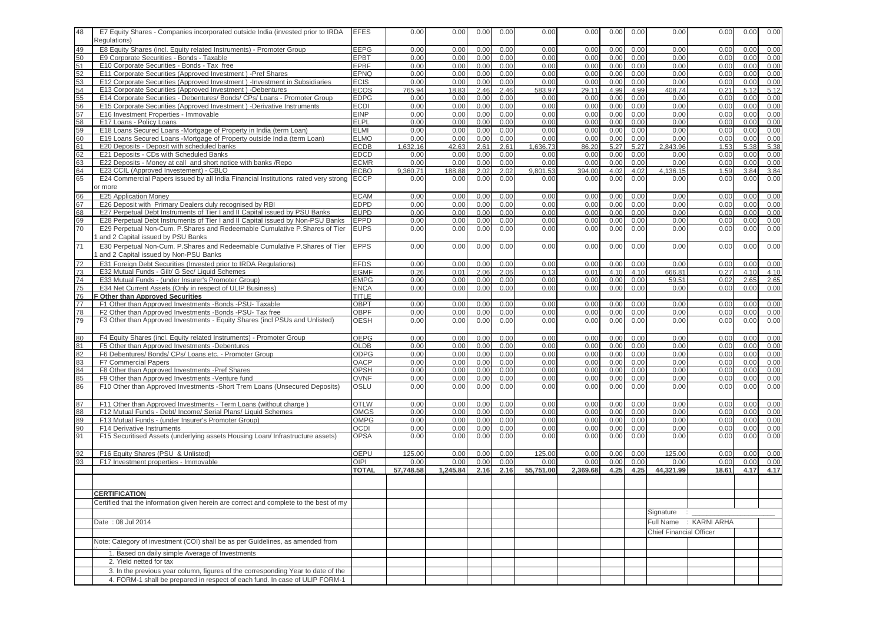| 48       | E7 Equity Shares - Companies incorporated outside India (invested prior to IRDA<br>Regulations)                                                               | <b>EFES</b>         | 0.00             | 0.00          | 0.00         | 0.00         | 0.00             | 0.00          | 0.00         | 0.00         | 0.00                           | 0.00                   | 0.00         | 0.00         |
|----------|---------------------------------------------------------------------------------------------------------------------------------------------------------------|---------------------|------------------|---------------|--------------|--------------|------------------|---------------|--------------|--------------|--------------------------------|------------------------|--------------|--------------|
| 49       | E8 Equity Shares (incl. Equity related Instruments) - Promoter Group                                                                                          | EEPG                | 0.00             | 0.00          | 0.00         | 0.00         | 0.00             | 0.00          | 0.00         | 0.00         | 0.00                           | 0.00                   | 0.00         | 0.00         |
| 50       | E9 Corporate Securities - Bonds - Taxable                                                                                                                     | EPBT                | 0.00             | 0.00          | 0.00         | 0.00         | 0.00             | 0.00          | 0.00         | 0.00         | 0.00                           | 0.00                   | 0.00         | 0.00         |
| 51       | E10 Corporate Securities - Bonds - Tax free                                                                                                                   | EPBF                | 0.00             | 0.00          | 0.00         | 0.00         | 0.00             | 0.00          | 0.00         | 0.00         | 0.00                           | 0.00                   | 0.00         | 0.00         |
| 52<br>53 | E11 Corporate Securities (Approved Investment) -Pref Shares<br>E12 Corporate Securities (Approved Investment) - Investment in Subsidiaries                    | EPNQ<br><b>ECIS</b> | 0.00<br>0.00     | 0.00<br>0.00  | 0.00<br>0.00 | 0.00<br>0.00 | 0.00<br>0.00     | 0.00<br>0.00  | 0.00<br>0.00 | 0.00<br>0.00 | 0.00<br>0.00                   | 0.00<br>0.00           | 0.00<br>0.00 | 0.00<br>0.00 |
| 54       | E13 Corporate Securities (Approved Investment) -Debentures                                                                                                    | <b>ECOS</b>         | 765.94           | 18.83         | 2.46         | 2.46         | 583.97           | 29.11         | 4.99         | 4.99         | 408.74                         | 0.21                   | 5.12         | 5.12         |
| 55       | E14 Corporate Securities - Debentures/ Bonds/ CPs/ Loans - Promoter Group                                                                                     | <b>EDPG</b>         | 0.00             | 0.00          | 0.00         | 0.00         | 0.00             | 0.00          | 0.00         | 0.00         | 0.00                           | 0.00                   | 0.00         | 0.00         |
| 56       | E15 Corporate Securities (Approved Investment) -Derivative Instruments                                                                                        | <b>ECDI</b>         | 0.00             | 0.00          | 0.00         | 0.00         | 0.00             | 0.00          | 0.00         | 0.00         | 0.00                           | 0.00                   | 0.00         | 0.00         |
| 57       | E16 Investment Properties - Immovable                                                                                                                         | <b>EINP</b>         | 0.00             | 0.00          | 0.00         | 0.00         | 0.00             | 0.00          | 0.00         | 0.00         | 0.00                           | 0.00                   | 0.00         | 0.00         |
| 58       | E17 Loans - Policy Loans                                                                                                                                      | <b>ELPL</b>         | 0.00             | 0.00          | 0.00         | 0.00         | 0.00             | 0.00          | 0.00         | 0.00         | 0.00                           | 0.00                   | 0.00         | 0.00         |
| 59       | E18 Loans Secured Loans -Mortgage of Property in India (term Loan)                                                                                            | <b>ELMI</b>         | 0.00             | 0.00          | 0.00         | 0.00         | 0.00             | 0.00          | 0.00         | 0.00         | 0.00                           | 0.00                   | 0.00         | 0.00         |
| 60       | E19 Loans Secured Loans -Mortgage of Property outside India (term Loan)                                                                                       | ELMO                | 0.00<br>1.632.16 | 0.00          | 0.00         | 0.00         | 0.00             | 0.00          | 0.00         | 0.00         | 0.00<br>2.843.96               | 0.00                   | 0.00         | 0.00         |
| 61<br>62 | E20 Deposits - Deposit with scheduled banks<br>E21 Deposits - CDs with Scheduled Banks                                                                        | ECDB<br><b>EDCD</b> | 0.00             | 42.63<br>0.00 | 2.61<br>0.00 | 2.61<br>0.00 | 1,636.73<br>0.00 | 86.20<br>0.00 | 5.27<br>0.00 | 5.27<br>0.00 | 0.00                           | 1.53<br>0.00           | 5.38<br>0.00 | 5.38<br>0.00 |
| 63       | E22 Deposits - Money at call and short notice with banks / Repo                                                                                               | <b>ECMR</b>         | 0.00             | 0.00          | 0.00         | 0.00         | 0.00             | 0.00          | 0.00         | 0.00         | 0.00                           | 0.00                   | 0.00         | 0.00         |
| 64       | E23 CCIL (Approved Investement) - CBLO                                                                                                                        | <b>ECBO</b>         | 9,360.71         | 188.88        | 2.02         | 2.02         | 9,801.53         | 394.00        | 4.02         | 4.02         | 4,136.15                       | 1.59                   | 3.84         | 3.84         |
| 65       | E24 Commercial Papers issued by all India Financial Institutions rated very strong ECCP                                                                       |                     | 0.00             | 0.00          | 0.00         | 0.00         | 0.00             | 0.00          | 0.00         | 0.00         | 0.00                           | 0.00                   | 0.00         | 0.00         |
|          | or more                                                                                                                                                       |                     |                  |               |              |              |                  |               |              |              |                                |                        |              |              |
| 66       | E25 Application Money                                                                                                                                         | <b>ECAM</b>         | 0.00             | 0.00          | 0.00         | 0.00         | 0.00             | 0.00          | 0.00         | 0.00         | 0.00                           | 0.00                   | 0.00         | 0.00         |
| 67       | E26 Deposit with Primary Dealers duly recognised by RBI                                                                                                       | <b>EDPD</b>         | 0.00             | 0.00          | 0.00         | 0.00         | 0.00             | 0.00          | 0.00         | 0.00         | 0.00                           | 0.00                   | 0.00         | 0.00         |
| 68       | E27 Perpetual Debt Instruments of Tier I and II Capital issued by PSU Banks                                                                                   | <b>EUPD</b>         | 0.00             | 0.00          | 0.00         | 0.00         | 0.00             | 0.00          | 0.00         | 0.00         | 0.00                           | 0.00                   | 0.00         | 0.00         |
| 69<br>70 | E28 Perpetual Debt Instruments of Tier I and II Capital issued by Non-PSU Banks<br>E29 Perpetual Non-Cum. P.Shares and Redeemable Cumulative P.Shares of Tier | EPPD<br><b>EUPS</b> | 0.00<br>0.00     | 0.00<br>0.00  | 0.00<br>0.00 | 0.00<br>0.00 | 0.00<br>0.00     | 0.00<br>0.00  | 0.00<br>0.00 | 0.00<br>0.00 | 0.00<br>0.00                   | 0.00<br>0.00           | 0.00<br>0.00 | 0.00<br>0.00 |
|          | and 2 Capital issued by PSU Banks                                                                                                                             |                     |                  |               |              |              |                  |               |              |              |                                |                        |              |              |
| 71       | E30 Perpetual Non-Cum. P.Shares and Redeemable Cumulative P.Shares of Tier                                                                                    | <b>EPPS</b>         | 0.00             | 0.00          | 0.00         | 0.00         | 0.00             | 0.00          | 0.00         | 0.00         | 0.00                           | 0.00                   | 0.00         | 0.00         |
|          | and 2 Capital issued by Non-PSU Banks                                                                                                                         |                     |                  |               |              |              |                  |               |              |              |                                |                        |              |              |
| 72       | E31 Foreign Debt Securities (Invested prior to IRDA Regulations)                                                                                              | <b>EFDS</b>         | 0.00             | 0.00          | 0.00         | 0.00         | 0.00             | 0.00          | 0.00         | 0.00         | 0.00                           | 0.00                   | 0.00         | 0.00         |
| 73       | E32 Mutual Funds - Gilt/ G Sec/ Liquid Schemes                                                                                                                | <b>EGMF</b>         | 0.26             | 0.01          | 2.06         | 2.06         | 0.13             | 0.01          | 4.10         | 4.10         | 666.81                         | 0.27                   | 4.10         | 4.10         |
| 74       | E33 Mutual Funds - (under Insurer's Promoter Group)                                                                                                           | <b>EMPG</b>         | 0.00             | 0.00          | 0.00         | 0.00         | 0.00             | 0.00          | 0.00         | 0.00         | 59.51                          | 0.02                   | 2.65         | 2.65         |
| 75       | E34 Net Current Assets (Only in respect of ULIP Business)                                                                                                     | <b>ENCA</b>         | 0.00             | 0.00          | 0.00         | 0.00         | 0.00             | 0.00          | 0.00         | 0.00         | 0.00                           | 0.00                   | 0.00         | 0.00         |
| 76       | Other than Approved Securities                                                                                                                                | TITLE               |                  |               |              |              |                  |               |              |              |                                |                        |              |              |
| 77       | F1 Other than Approved Investments -Bonds -PSU- Taxable                                                                                                       | OBPT                | 0.00             | 0.00          | 0.00         | 0.00         | 0.00             | 0.00          | 0.00         | 0.00         | 0.00                           | 0.00                   | 0.00         | 0.00         |
| 78<br>79 | F2 Other than Approved Investments -Bonds -PSU- Tax free<br>F3 Other than Approved Investments - Equity Shares (incl PSUs and Unlisted)                       | <b>OBPF</b>         | 0.00             | 0.00          | 0.00         | 0.00         | 0.00             | 0.00          | 0.00         | 0.00         | 0.00                           | 0.00                   | 0.00         | 0.00         |
|          |                                                                                                                                                               | <b>OESH</b>         | 0.00             | 0.00          | 0.00         | 0.00         | 0.00             | 0.00          | 0.00         | 0.00         | 0.00                           | 0.00                   | 0.00         | 0.00         |
| 80       | F4 Equity Shares (incl. Equity related Instruments) - Promoter Group                                                                                          | <b>OEPG</b>         | 0.00             | 0.00          | 0.00         | 0.00         | 0.00             | 0.00          | 0.00         | 0.00         | 0.00                           | 0.00                   | 0.00         | 0.00         |
| 81       | F5 Other than Approved Investments -Debentures                                                                                                                | <b>OLDB</b>         | 0.00             | 0.00          | 0.00         | 0.00         | 0.00             | 0.00          | 0.00         | 0.00         | 0.00                           | 0.00                   | 0.00         | 0.00         |
| 82       | F6 Debentures/ Bonds/ CPs/ Loans etc. - Promoter Group                                                                                                        | ODPG<br>OACP        | 0.00<br>0.00     | 0.00          | 0.00         | 0.00         | 0.00<br>0.00     | 0.00          | 0.00<br>0.00 | 0.00         | 0.00<br>0.00                   | 0.00                   | 0.00         | 0.00         |
| 83<br>84 | <b>F7 Commercial Papers</b><br>F8 Other than Approved Investments -Pref Shares                                                                                | <b>OPSH</b>         | 0.00             | 0.00<br>0.00  | 0.00<br>0.00 | 0.00<br>0.00 | 0.00             | 0.00<br>0.00  | 0.00         | 0.00<br>0.00 | 0.00                           | 0.00<br>0.00           | 0.00<br>0.00 | 0.00<br>0.00 |
| 85       | F9 Other than Approved Investments - Venture fund                                                                                                             | <b>OVNF</b>         | 0.00             | 0.00          | 0.00         | 0.00         | 0.00             | 0.00          | 0.00         | 0.00         | 0.00                           | 0.00                   | 0.00         | 0.00         |
| 86       | F10 Other than Approved Investments -Short Trem Loans (Unsecured Deposits)                                                                                    | OSLU                | 0.00             | 0.00          | 0.00         | 0.00         | 0.00             | 0.00          | 0.00         | 0.00         | 0.00                           | 0.00                   | 0.00         | 0.00         |
|          |                                                                                                                                                               |                     |                  |               |              |              |                  |               |              |              |                                |                        |              |              |
| 87       | F11 Other than Approved Investments - Term Loans (without charge)                                                                                             | <b>OTLW</b>         | 0.00             | 0.00          | 0.00         | 0.00         | 0.00             | 0.00          | 0.00         | 0.00         | 0.00                           | 0.00                   | 0.00         | 0.00         |
| 88       | F12 Mutual Funds - Debt/ Income/ Serial Plans/ Liquid Schemes                                                                                                 | <b>OMGS</b>         | 0.00             | 0.00          | 0.00         | 0.00         | 0.00             | 0.00          | 0.00         | 0.00         | 0.00                           | 0.00                   | 0.00         | 0.00         |
| 89       | F13 Mutual Funds - (under Insurer's Promoter Group)                                                                                                           | OMPG                | 0.00             | 0.00          | 0.00         | 0.00         | 0.00             | 0.00          | 0.00         | 0.00         | 0.00                           | 0.00                   | 0.00         | 0.00         |
| 90<br>91 | F14 Derivative Instruments<br>F15 Securitised Assets (underlying assets Housing Loan/ Infrastructure assets)                                                  | OCDI<br><b>OPSA</b> | 0.00<br>0.00     | 0.00<br>0.00  | 0.00<br>0.00 | 0.00<br>0.00 | 0.00<br>0.00     | 0.00<br>0.00  | 0.00<br>0.00 | 0.00<br>0.00 | 0.00<br>0.00                   | 0.00<br>0.00           | 0.00<br>0.00 | 0.00<br>0.00 |
|          |                                                                                                                                                               |                     |                  |               |              |              |                  |               |              |              |                                |                        |              |              |
| 92       | F16 Equity Shares (PSU & Unlisted)                                                                                                                            | OEPU                | 125.00           | 0.00          | 0.00         | 0.00         | 125.00           | 0.00          | 0.00         | 0.00         | 125.00                         | 0.00                   | 0.00         | 0.00         |
| 93       | F17 Investment properties - Immovable                                                                                                                         | OIPI                | 0.00             | 0.00          | 0.00         | 0.00         | 0.00             | 0.00          | 0.00         | 0.00         | 0.00                           | 0.00                   | 0.00         | 0.00         |
|          |                                                                                                                                                               | <b>TOTAL</b>        | 57,748.58        | 1,245.84      | 2.16         | 2.16         | 55,751.00        | 2.369.68      | 4.25         | 4.25         | 44.321.99                      | 18.61                  | 4.17         | 4.17         |
|          |                                                                                                                                                               |                     |                  |               |              |              |                  |               |              |              |                                |                        |              |              |
|          | <b>CERTIFICATION</b>                                                                                                                                          |                     |                  |               |              |              |                  |               |              |              |                                |                        |              |              |
|          |                                                                                                                                                               |                     |                  |               |              |              |                  |               |              |              |                                |                        |              |              |
|          | Certified that the information given herein are correct and complete to the best of my                                                                        |                     |                  |               |              |              |                  |               |              |              | Signature : _                  |                        |              |              |
|          |                                                                                                                                                               |                     |                  |               |              |              |                  |               |              |              |                                |                        |              |              |
|          | Date: 08 Jul 2014                                                                                                                                             |                     |                  |               |              |              |                  |               |              |              |                                | Full Name : KARNI ARHA |              |              |
|          |                                                                                                                                                               |                     |                  |               |              |              |                  |               |              |              | <b>Chief Financial Officer</b> |                        |              |              |
|          | Note: Category of investment (COI) shall be as per Guidelines, as amended from                                                                                |                     |                  |               |              |              |                  |               |              |              |                                |                        |              |              |
|          | 1. Based on daily simple Average of Investments                                                                                                               |                     |                  |               |              |              |                  |               |              |              |                                |                        |              |              |
|          | 2. Yield netted for tax                                                                                                                                       |                     |                  |               |              |              |                  |               |              |              |                                |                        |              |              |
|          | 3. In the previous year column, figures of the corresponding Year to date of the                                                                              |                     |                  |               |              |              |                  |               |              |              |                                |                        |              |              |
|          | 4. FORM-1 shall be prepared in respect of each fund. In case of ULIP FORM-1                                                                                   |                     |                  |               |              |              |                  |               |              |              |                                |                        |              |              |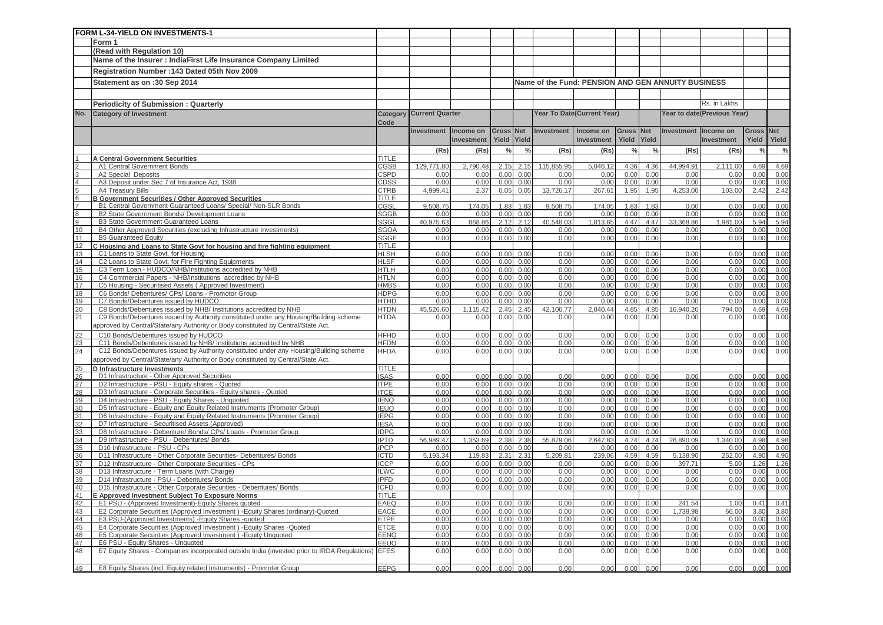|                       | FORM L-34-YIELD ON INVESTMENTS-1                                                                                                  |                            |                                 |                   |                  |               |                  |                                                    |               |               |                      |                             |               |               |
|-----------------------|-----------------------------------------------------------------------------------------------------------------------------------|----------------------------|---------------------------------|-------------------|------------------|---------------|------------------|----------------------------------------------------|---------------|---------------|----------------------|-----------------------------|---------------|---------------|
|                       | Form 1                                                                                                                            |                            |                                 |                   |                  |               |                  |                                                    |               |               |                      |                             |               |               |
|                       | (Read with Regulation 10)                                                                                                         |                            |                                 |                   |                  |               |                  |                                                    |               |               |                      |                             |               |               |
|                       | Name of the Insurer : IndiaFirst Life Insurance Company Limited                                                                   |                            |                                 |                   |                  |               |                  |                                                    |               |               |                      |                             |               |               |
|                       | Registration Number: 143 Dated 05th Nov 2009                                                                                      |                            |                                 |                   |                  |               |                  |                                                    |               |               |                      |                             |               |               |
|                       |                                                                                                                                   |                            |                                 |                   |                  |               |                  |                                                    |               |               |                      |                             |               |               |
|                       | Statement as on :30 Sep 2014                                                                                                      |                            |                                 |                   |                  |               |                  | Name of the Fund: PENSION AND GEN ANNUITY BUSINESS |               |               |                      |                             |               |               |
|                       |                                                                                                                                   |                            |                                 |                   |                  |               |                  |                                                    |               |               |                      |                             |               |               |
|                       | <b>Periodicity of Submission: Quarterly</b>                                                                                       |                            |                                 |                   |                  |               |                  |                                                    |               |               |                      | Rs. in Lakhs                |               |               |
| No.                   | <b>Category of Investment</b>                                                                                                     |                            | <b>Category Current Quarter</b> |                   |                  |               |                  | Year To Date(Current Year)                         |               |               |                      | Year to date(Previous Year) |               |               |
|                       |                                                                                                                                   | Code                       |                                 |                   |                  |               |                  |                                                    |               |               |                      |                             |               |               |
|                       |                                                                                                                                   |                            | <b>Investment</b>               | Income on         | <b>Gross Net</b> |               | Investment       | Income on                                          | Gross Net     |               | Investment Income on |                             | <b>Gross</b>  | <b>Net</b>    |
|                       |                                                                                                                                   |                            |                                 | <b>Investment</b> | Yield Yield      |               |                  | <b>Investment</b>                                  | Yield         | Yield         |                      | <b>Investment</b>           | Yield         | Yield         |
|                       |                                                                                                                                   |                            | (Rs)                            | (Rs)              | $\frac{0}{0}$    | $\frac{0}{6}$ | (Rs)             | (Rs)                                               | $\frac{0}{0}$ | $\frac{0}{c}$ | (Rs)                 | (Rs)                        | $\frac{0}{0}$ | $\frac{0}{0}$ |
|                       | <b>A Central Government Securities</b>                                                                                            | TITI F                     |                                 |                   |                  |               |                  |                                                    |               |               |                      |                             |               |               |
|                       | A1 Central Government Bonds                                                                                                       | CGSB                       | 129.771.80                      | 2,790.48          | 2.15             | 2.15          | 115,855.95       | 5,046.12                                           | 4.36          | 4.36          | 44,994.91            | 2.111.00                    | 4.69          | 4.69          |
|                       | A2 Special Deposits                                                                                                               | CSPD                       | 0.00                            | 0.00              | 0.00             | 0.00          | 0.00             | 0.00                                               | 0.00          | 0.00          | 0.00                 | 0.00                        | 0.00          | 0.00          |
|                       | A3 Deposit under Sec 7 of Insurance Act, 1938                                                                                     | <b>CDSS</b>                | 0.00                            | 0.00              | 0.00             | 0.00          | 0.00             | 0.00                                               | 0.00          | 0.00          | 0.00                 | 0.00                        | 0.00          | 0.00          |
|                       | A4 Treasury Bills                                                                                                                 | CTRB                       | 4.999.41                        | 2.37              | 0.05             | 0.05          | 13,726.17        | 267.61                                             | 1.95          | 1.95          | 4,253.00             | 103.00                      | 2.42          | 2.42          |
|                       | <b>B Government Securities / Other Approved Securities</b>                                                                        | <b>TITLE</b>               |                                 |                   |                  |               |                  |                                                    |               |               |                      |                             |               |               |
|                       | B1 Central Government Guaranteed Loans/ Special/ Non-SLR Bonds<br>B2 State Government Bonds/ Development Loans                    | CGSL<br><b>SGGB</b>        | 9,508.75<br>0.00                | 174.05<br>0.00    | 1.83<br>0.00     | 1.83<br>0.00  | 9,508.75<br>0.00 | 174.05<br>0.00                                     | 1.83<br>0.00  | 1.83<br>0.00  | 0.00<br>0.00         | 0.00<br>0.00                | 0.00<br>0.00  | 0.00<br>0.00  |
|                       | B3 State Government Guaranteed Loans                                                                                              | <b>SGGL</b>                | 40,975.63                       | 868.86            | 2.12             | 2.12          | 40,548.03        | 1,813.65                                           | 4.47          | 4.47          | 33,368.86            | 1,981.00                    | 5.94          | 5.94          |
| 10                    | B4 Other Approved Securities (excluding Infrastructure Investments)                                                               | SGOA                       | 0.00                            | 0.00              | 0.00             | 0.00          | 0.00             | 0.00                                               | 0.00          | 0.00          | 0.00                 | 0.00                        | 0.00          | 0.00          |
| 11                    | <b>B5 Guaranteed Equity</b>                                                                                                       | SGGE                       | 0.00                            | 0.00              | 0.00             | 0.00          | 0.00             | 0.00                                               | 0.00          | 0.00          | 0.00                 | 0.00                        | 0.00          | 0.00          |
| 12                    | C Housing and Loans to State Govt for housing and fire fighting equipment                                                         | <b>TITLE</b>               |                                 |                   |                  |               |                  |                                                    |               |               |                      |                             |               |               |
| 13                    | C1 Loans to State Govt. for Housing                                                                                               | <b>HLSH</b>                | 0.00                            | 0.00              | 0.00             | 0.00          | 0.00             | 0.00                                               | 0.00          | 0.00          | 0.00                 | 0.00                        | 0.00          | 0.00          |
| 14                    | C2 Loans to State Govt. for Fire Fighting Equipments                                                                              | <b>HLSF</b>                | 0.00                            | 0.00              | 0.00             | 0.00          | 0.00             | 0.00                                               | 0.00          | 0.00          | 0.00                 | 0.00                        | 0.00          | 0.00          |
| 15                    | C3 Term Loan - HUDCO/NHB/Institutions accredited by NHB                                                                           | <b>HTLH</b>                | 0.00                            | 0.00              | 0.00             | 0.00          | 0.00             | 0.00                                               | 0.00          | 0.00          | 0.00                 | 0.00                        | 0.00          | 0.00          |
| 16                    | C4 Commercial Papers - NHB/Institutions accredited by NHB                                                                         | <b>HTLN</b>                | 0.00                            | 0.00              | 0.00             | 0.00          | 0.00             | 0.00                                               | 0.00          | 0.00          | 0.00                 | 0.00                        | 0.00          | 0.00          |
| 17<br>18              | C5 Housing - Securitised Assets (Approved Investment)<br>C6 Bonds/ Debentures/ CPs/ Loans - Promotor Group                        | <b>HMBS</b><br><b>HDPG</b> | 0.00<br>0.00                    | 0.00<br>0.00      | 0.00<br>0.00     | 0.00<br>0.00  | 0.00<br>0.00     | 0.00<br>0.00                                       | 0.00<br>0.00  | 0.00<br>0.00  | 0.00<br>0.00         | 0.00<br>0.00                | 0.00<br>0.00  | 0.00<br>0.00  |
| 19                    | C7 Bonds/Debentures issued by HUDCO                                                                                               | <b>HTHD</b>                | 0.00                            | 0.00              | 0.00             | 0.00          | 0.00             | 0.00                                               | 0.00          | 0.00          | 0.00                 | 0.00                        | 0.00          | 0.00          |
| 20                    | C8 Bonds/Debentures issued by NHB/ Institutions accredited by NHB                                                                 | <b>HTDN</b>                | 45.526.60                       | 1.115.42          | 2.45             | 2.45          | 42.106.77        | 2.040.44                                           | 4.85          | 4.85          | 940.26<br>16.        | 794.00                      | 4.69          | 4.69          |
| 21                    | C9 Bonds/Debentures issued by Authority constituted under any Housing/Building scheme                                             | <b>HTDA</b>                | 0.00                            | 0.00              | 0.00             | 0.00          | 0.00             | 0.00                                               | 0.00          | 0.00          | 0.00                 | 0.00                        | 0.00          | 0.00          |
|                       | approved by Central/State/any Authority or Body constituted by Central/State Act.                                                 |                            |                                 |                   |                  |               |                  |                                                    |               |               |                      |                             |               |               |
| 22                    | C10 Bonds/Debentures issued by HUDCO                                                                                              | <b>HFHD</b>                | 0.00                            | 0.00              | 0.00             | 0.00          | 0.00             | 0.00                                               | 0.00          | 0.00          | 0.00                 | 0.00                        | 0.00          | 0.00          |
| 23                    | C11 Bonds/Debentures issued by NHB/ Institutions accredited by NHB                                                                | <b>HFDN</b>                | 0.00                            | 0.00              | 0.00             | 0.00          | 0.00             | 0.00                                               | 0.00          | 0.00          | 0.00                 | 0.00                        | 0.00          | 0.00          |
| 24                    | C12 Bonds/Debentures issued by Authority constituted under any Housing/Building scheme                                            | <b>HFDA</b>                | 0.00                            | 0.00              | 0.00             | 0.00          | 0.00             | 0.00                                               | 0.00          | 0.00          | 0.00                 | 0.00                        | 0.00          | 0.00          |
|                       | approved by Central/State/any Authority or Body constituted by Central/State Act.                                                 |                            |                                 |                   |                  |               |                  |                                                    |               |               |                      |                             |               |               |
| 25                    | D Infrastructure Investments                                                                                                      | <b>TITLE</b>               |                                 |                   |                  |               |                  |                                                    |               |               |                      |                             |               |               |
| 26                    | D1 Infrastructure - Other Approved Securities                                                                                     | <b>ISAS</b>                | 0.00                            | 0.00              | 0.00             | 0.00          | 0.00             | 0.00                                               | 0.00          | 0.00          | 0.00                 | 0.00                        | 0.00          | 0.00          |
| 27                    | D2 Infrastructure - PSU - Equity shares - Quoted                                                                                  | <b>ITPE</b>                | 0.00                            | 0.00              | 0.00             | 0.00          | 0.00             | 0.00                                               | 0.00          | 0.00          | 0.00                 | 0.00                        | 0.00          | 0.00          |
| 28<br>29              | D3 Infrastructure - Corporate Securities - Equity shares - Quoted<br>D4 Infrastructure - PSU - Equity Shares - Unquoted           | <b>ITCE</b><br><b>IENQ</b> | 0.00<br>0.00                    | 0.00<br>0.00      | 0.00<br>0.00     | 0.00<br>0.00  | 0.00<br>0.00     | 0.00<br>0.00                                       | 0.00<br>0.00  | 0.00<br>0.00  | 0.00<br>0.00         | 0.00<br>0.00                | 0.00<br>0.00  | 0.00<br>0.00  |
| 30                    | D5 Infrastructure - Equity and Equity Related Instruments (Promoter Group)                                                        | <b>IEUQ</b>                | 0.00                            | 0.00              | 0.00             | 0.00          | 0.00             | 0.00                                               | 0.00          | 0.00          | 0.00                 | 0.00                        | 0.00          | 0.00          |
| 31                    | D6 Infrastructure - Equity and Equity Related Instruments (Promoter Group)                                                        | <b>IEPG</b>                | 0.00                            | 0.00              | 0.00             | 0.00          | 0.00             | 0.00                                               | 0.00          | 0.00          | 0.00                 | 0.00                        | 0.00          | 0.00          |
| 32                    | D7 Infrastructure - Securitised Assets (Approved)                                                                                 | <b>IESA</b>                | 0.00                            | 0.00              | 0.00             | 0.00          | 0.00             | 0.00                                               | 0.00          | 0.00          | 0.00                 | 0.00                        | 0.00          | 0.00          |
| 33                    | D8 Infrastructure - Debenture/ Bonds/ CPs/ Loans - Promoter Group                                                                 | <b>IDPG</b>                | 0.00                            | 0.00              | 0.00             | 0.00          | 0.00             | 0.00                                               | 0.00          | 0.00          | 0.00                 | 0.00                        | 0.00          | 0.00          |
| 34                    | D9 Infrastructure - PSU - Debentures/ Bonds                                                                                       | <b>IPTD</b>                | 56,989.47                       | 1,353.69          | 2.38             | 2.38          | 55,879.06        | 2,647.83                                           | 4.74          | 4.74          | 26,890.09            | 1,340.00                    | 4.98          | 4.98          |
| 35                    | D10 Infrastructure - PSU - CPs                                                                                                    | <b>IPCP</b>                | 0.00                            | 0.00              | 0.00             | 0.00          | 0.00             | 0.00                                               | 0.00          | 0.00          | 0.00                 | 0.00                        | 0.00          | 0.00          |
| 36                    | D11 Infrastructure - Other Corporate Securities- Debentures/ Bonds                                                                | <b>ICTD</b>                | 5.193.34                        | 119.83            | 2.31             | 2.31          | 5.209.81         | 239.06                                             | 4.59          | 4.59          | 5,138.90             | 252.00                      | 4.90          | 4.90          |
| $\overline{37}$<br>38 | D12 Infrastructure - Other Corporate Securities - CPs<br>D13 Infrastructure - Term Loans (with Charge)                            | <b>ICCP</b><br><b>ILWC</b> | 0.00<br>0.00                    | 0.00<br>0.00      | 0.00<br>0.00     | 0.00<br>0.00  | 0.00<br>0.00     | 0.00<br>0.00                                       | 0.00<br>0.00  | 0.00<br>0.00  | 397.71<br>0.00       | 5.00<br>0.00                | 1.26<br>0.00  | 1.26          |
| 39                    | D14 Infrastructure - PSU - Debentures/ Bonds                                                                                      | <b>IPFD</b>                | 0.00                            | 0.00              | 0.00             | 0.00          | 0.00             | 0.00                                               | 0.00          | 0.00          | 0.00                 | 0.00                        | 0.00          | 0.00<br>0.00  |
| 40                    | D15 Infrastructure - Other Corporate Securities - Debentures/ Bonds                                                               | <b>ICFD</b>                | 0.00                            | 0.00              | 0.00             | 0.00          | 0.00             | 0.00                                               | 0.00          | 0.00          | 0.00                 | 0.00                        | 0.00          | 0.00          |
| 41                    | E Approved Investment Subject To Exposure Norms                                                                                   | TITLE                      |                                 |                   |                  |               |                  |                                                    |               |               |                      |                             |               |               |
| 42                    | E1 PSU - (Approved Investment)-Equity Shares quoted                                                                               | EAEQ                       | 0.00                            | 0.00              | 0.00             | 0.00          | 0.00             | 0.00                                               | 0.00          | 0.00          | 241.54               | 1.00                        | 0.41          | 0.41          |
| 43                    | E2 Corporate Securities (Approved Investment) - Equity Shares (ordinary)-Quoted                                                   | EACE                       | 0.00                            | 0.00              | 0.00             | 0.00          | 0.00             | 0.00                                               | 0.00          | 0.00          | 1,738.98             | 66.00                       | 3.80          | 3.80          |
| 44                    | E3 PSU-(Approved Investments) - Equity Shares - quoted                                                                            | <b>ETPE</b>                | 0.00                            | 0.00              | 0.00             | 0.00          | 0.00             | 0.00                                               | 0.00          | 0.00          | 0.00                 | 0.00                        | 0.00          | 0.00          |
| 45                    | E4 Corporate Securities (Approved Investment) - Equity Shares - Quoted                                                            | ETCE                       | 0.00                            | 0.00              | 0.00             | 0.00          | 0.00             | 0.00                                               | 0.00          | 0.00          | 0.00                 | 0.00                        | 0.00          | 0.00          |
| 46                    | E5 Corporate Securities (Approved Investment) - Equity Unquoted                                                                   | EENQ                       | 0.00                            | 0.00              | 0.00             | 0.00          | 0.00             | 0.00                                               | 0.00          | 0.00          | 0.00                 | 0.00                        | 0.00          | 0.00          |
| 47<br>48              | E6 PSU - Equity Shares - Unquoted<br>E7 Equity Shares - Companies incorporated outside India (invested prior to IRDA Regulations) | EEUQ<br><b>EFES</b>        | 0.00                            | 0.00              | 0.00<br>0.00     | 0.00<br>0.00  | 0.00<br>0.00     | 0.00                                               | 0.00<br>0.00  | 0.00          | 0.00                 | 0.00<br>0.00                | 0.00          | 0.00          |
|                       |                                                                                                                                   |                            | 0.00                            | 0.00              |                  |               |                  | 0.00                                               |               | 0.00          | 0.00                 |                             | 0.00          | 0.00          |
| 49                    | E8 Equity Shares (incl. Equity related Instruments) - Promoter Group                                                              | <b>EEPG</b>                | 0.00                            | 0.00              | 0.00             | 0.00          | 0.00             | 0.00                                               | 0.00          | 0.00          | 0.00                 | 0.00                        | 0.00          | 0.00          |
|                       |                                                                                                                                   |                            |                                 |                   |                  |               |                  |                                                    |               |               |                      |                             |               |               |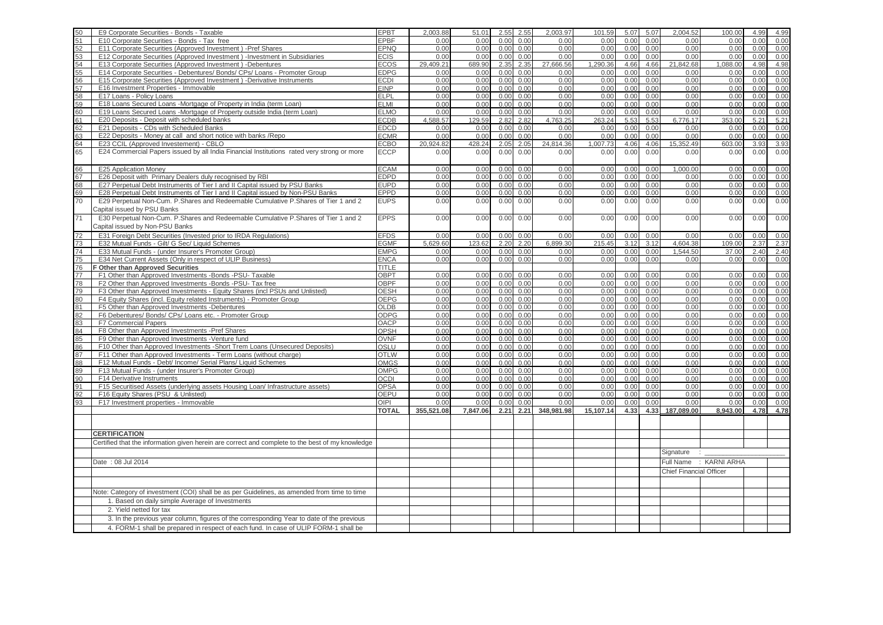| 50              | E9 Corporate Securities - Bonds - Taxable                                                        | <b>EPBT</b>  | 2.003.88   | 51.01    | 2.55 | 2.55 | 2.003.97   | 101.59    | 5.07 | 5.07 | 2.004.52                       | 100.00                 | 4.99 | 4.99 |
|-----------------|--------------------------------------------------------------------------------------------------|--------------|------------|----------|------|------|------------|-----------|------|------|--------------------------------|------------------------|------|------|
| 51              | E10 Corporate Securities - Bonds - Tax free                                                      | <b>EPBF</b>  | 0.00       | 0.00     | 0.00 | 0.00 | 0.00       | 0.00      | 0.00 | 0.00 | 0.00                           | 0.00                   | 0.00 | 0.00 |
| 52              | E11 Corporate Securities (Approved Investment) -Pref Shares                                      | <b>EPNQ</b>  | 0.00       | 0.00     | 0.00 | 0.00 | 0.00       | 0.00      | 0.00 | 0.00 | 0.00                           | 0.00                   | 0.00 | 0.00 |
| 53              | E12 Corporate Securities (Approved Investment) -Investment in Subsidiaries                       | <b>ECIS</b>  | 0.00       | 0.00     | 0.00 | 0.00 | 0.00       | 0.00      | 0.00 | 0.00 | 0.00                           | 0.00                   | 0.00 | 0.00 |
| 54              | E13 Corporate Securities (Approved Investment) -Debentures                                       | <b>ECOS</b>  | 29.409.21  | 689.90   | 2.35 | 2.35 | 27.666.56  | 1.290.36  | 4.66 | 4.66 | 21.842.68                      | 1.088.00               | 4.98 | 4.98 |
|                 |                                                                                                  |              |            |          |      |      |            |           |      |      |                                |                        |      |      |
| 55              | E14 Corporate Securities - Debentures/ Bonds/ CPs/ Loans - Promoter Group                        | <b>EDPG</b>  | 0.00       | 0.00     | 0.00 | 0.00 | 0.00       | 0.00      | 0.00 | 0.00 | 0.00                           | 0.00                   | 0.00 | 0.00 |
| 56              | E15 Corporate Securities (Approved Investment) -Derivative Instruments                           | <b>ECDI</b>  | 0.00       | 0.00     | 0.00 | 0.00 | 0.00       | 0.00      | 0.00 | 0.00 | 0.00                           | 0.00                   | 0.00 | 0.00 |
| 57              | E16 Investment Properties - Immovable                                                            | <b>EINP</b>  | 0.00       | 0.00     | 0.00 | 0.00 | 0.00       | 0.00      | 0.00 | 0.00 | 0.00                           | 0.00                   | 0.00 | 0.00 |
| 58              | E17 Loans - Policy Loans                                                                         | <b>ELPL</b>  | 0.00       | 0.00     | 0.00 | 0.00 | 0.00       | 0.00      | 0.00 | 0.00 | 0.00                           | 0.00                   | 0.00 | 0.00 |
| 59              | E18 Loans Secured Loans -Mortgage of Property in India (term Loan)                               | <b>ELMI</b>  | 0.00       | 0.00     | 0.00 | 0.00 | 0.00       | 0.00      | 0.00 | 0.00 | 0.00                           | 0.00                   | 0.00 | 0.00 |
| 60              | E19 Loans Secured Loans -Mortgage of Property outside India (term Loan)                          | <b>ELMO</b>  | 0.00       | 0.00     | 0.00 | 0.00 | 0.00       | 0.00      | 0.00 | 0.00 | 0.00                           | 0.00                   | 0.00 | 0.00 |
| 61              | E20 Deposits - Deposit with scheduled banks                                                      | <b>ECDB</b>  | 4.588.57   | 129.59   | 2.82 | 2.82 | 4.763.25   | 263.24    | 5.53 | 5.53 | 6,776.17                       | 353.00                 | 5.21 | 5.21 |
| 62              | E21 Deposits - CDs with Scheduled Banks                                                          | <b>EDCD</b>  | 0.00       | 0.00     | 0.00 | 0.00 | 0.00       | 0.00      | 0.00 | 0.00 | 0.00                           | 0.00                   | 0.00 | 0.00 |
| 63              | E22 Deposits - Money at call and short notice with banks /Repo                                   | <b>ECMR</b>  | 0.00       | 0.00     | 0.00 | 0.00 | 0.00       | 0.00      | 0.00 | 0.00 | 0.00                           | 0.00                   | 0.00 | 0.00 |
| 64              | E23 CCIL (Approved Investement) - CBLO                                                           | <b>ECBO</b>  | 20,924.82  | 428.24   | 2.05 | 2.05 | 24,814.36  | 1,007.73  | 4.06 | 4.06 | 15,352.49                      | 603.00                 | 3.93 | 3.93 |
| 65              | E24 Commercial Papers issued by all India Financial Institutions rated very strong or more       | <b>ECCP</b>  | 0.00       | 0.00     | 0.00 | 0.00 | 0.00       | 0.00      | 0.00 | 0.00 | 0.00                           | 0.00                   | 0.00 | 0.00 |
|                 |                                                                                                  |              |            |          |      |      |            |           |      |      |                                |                        |      |      |
|                 |                                                                                                  |              |            |          |      |      |            |           |      |      |                                |                        |      |      |
| 66              | E25 Application Money                                                                            | <b>ECAM</b>  | 0.00       | 0.00     | 0.00 | 0.00 | 0.00       | 0.00      | 0.00 | 0.00 | 1,000.00                       | 0.00                   | 0.00 | 0.00 |
| 67              | E26 Deposit with Primary Dealers duly recognised by RBI                                          | <b>EDPD</b>  | 0.00       | 0.00     | 0.00 | 0.00 | 0.00       | 0.00      | 0.00 | 0.00 | 0.00                           | 0.00                   | 0.00 | 0.00 |
| 68              | E27 Perpetual Debt Instruments of Tier I and II Capital issued by PSU Banks                      | <b>EUPD</b>  | 0.00       | 0.00     | 0.00 | 0.00 | 0.00       | 0.00      | 0.00 | 0.00 | 0.00                           | 0.00                   | 0.00 | 0.00 |
| 69              | E28 Perpetual Debt Instruments of Tier I and II Capital issued by Non-PSU Banks                  | <b>EPPD</b>  | 0.00       | 0.00     | 0.00 | 0.00 | 0.00       | 0.00      | 0.00 | 0.00 | 0.00                           | 0.00                   | 0.00 | 0.00 |
| 70              | E29 Perpetual Non-Cum. P.Shares and Redeemable Cumulative P.Shares of Tier 1 and 2               | <b>EUPS</b>  | 0.00       | 0.00     | 0.00 | 0.00 | 0.00       | 0.00      | 0.00 | 0.00 | 0.00                           | 0.00                   | 0.00 | 0.00 |
|                 | Capital issued by PSU Banks                                                                      |              |            |          |      |      |            |           |      |      |                                |                        |      |      |
| $\overline{71}$ | E30 Perpetual Non-Cum. P.Shares and Redeemable Cumulative P.Shares of Tier 1 and 2               | <b>EPPS</b>  | 0.00       | 0.00     | 0.00 | 0.00 | 0.00       | 0.00      | 0.00 | 0.00 | 0.00                           | 0.00                   | 0.00 | 0.00 |
|                 | Capital issued by Non-PSU Banks                                                                  |              |            |          |      |      |            |           |      |      |                                |                        |      |      |
|                 |                                                                                                  |              |            |          |      |      |            |           |      |      |                                |                        |      |      |
| 72              | E31 Foreign Debt Securities (Invested prior to IRDA Regulations)                                 | <b>EFDS</b>  | 0.00       | 0.00     | 0.00 | 0.00 | 0.00       | 0.00      | 0.00 | 0.00 | 0.00                           | 0.00                   | 0.00 | 0.00 |
| 73              | E32 Mutual Funds - Gilt/ G Sec/ Liquid Schemes                                                   | <b>EGMF</b>  | 5.629.60   | 123.62   | 2.20 | 2.20 | 6.899.30   | 215.45    | 3.12 | 3.12 | 4,604.38                       | 109.00                 | 2.37 | 2.37 |
| 74              | E33 Mutual Funds - (under Insurer's Promoter Group)                                              | <b>EMPG</b>  | 0.00       | 0.00     | 0.00 | 0.00 | 0.00       | 0.00      | 0.00 | 0.00 | 1,544.50                       | 37.00                  | 2.40 | 2.40 |
| 75              | E34 Net Current Assets (Only in respect of ULIP Business)                                        | <b>ENCA</b>  | 0.00       | 0.00     | 0.00 | 0.00 | 0.00       | 0.00      | 0.00 | 0.00 | 0.00                           | 0.00                   | 0.00 | 0.00 |
| 76              | F Other than Approved Securities                                                                 | TITLE        |            |          |      |      |            |           |      |      |                                |                        |      |      |
| 77              | F1 Other than Approved Investments -Bonds -PSU- Taxable                                          | <b>OBPT</b>  | 0.00       | 0.00     | 0.00 | 0.00 | 0.00       | 0.00      | 0.00 | 0.00 | 0.00                           | 0.00                   | 0.00 | 0.00 |
| 78              | F2 Other than Approved Investments -Bonds -PSU- Tax free                                         | <b>OBPF</b>  | 0.00       | 0.00     | 0.00 | 0.00 | 0.00       | 0.00      | 0.00 | 0.00 | 0.00                           | 0.00                   | 0.00 | 0.00 |
| 79              | F3 Other than Approved Investments - Equity Shares (incl PSUs and Unlisted)                      | <b>OESH</b>  | 0.00       | 0.00     | 0.00 | 0.00 | 0.00       | 0.00      | 0.00 | 0.00 | 0.00                           | 0.00                   | 0.00 | 0.00 |
| 80              | F4 Equity Shares (incl. Equity related Instruments) - Promoter Group                             | <b>OEPG</b>  | 0.00       | 0.00     | 0.00 | 0.00 | 0.00       | 0.00      | 0.00 | 0.00 | 0.00                           | 0.00                   | 0.00 | 0.00 |
| 81              | F5 Other than Approved Investments -Debentures                                                   | <b>OLDB</b>  | 0.00       | 0.00     | 0.00 | 0.00 | 0.00       | 0.00      | 0.00 | 0.00 | 0.00                           | 0.00                   | 0.00 | 0.00 |
| 82              | F6 Debentures/ Bonds/ CPs/ Loans etc. - Promoter Group                                           | ODPG         | 0.00       | 0.00     | 0.00 | 0.00 | 0.00       | 0.00      | 0.00 | 0.00 | 0.00                           | 0.00                   | 0.00 | 0.00 |
| 83              | F7 Commercial Papers                                                                             | <b>OACP</b>  | 0.00       | 0.00     | 0.00 | 0.00 | 0.00       | 0.00      | 0.00 | 0.00 | 0.00                           | 0.00                   | 0.00 | 0.00 |
| 84              | F8 Other than Approved Investments -Pref Shares                                                  | <b>OPSH</b>  | 0.00       | 0.00     | 0.00 | 0.00 | 0.00       | 0.00      | 0.00 | 0.00 | 0.00                           | 0.00                   | 0.00 | 0.00 |
|                 |                                                                                                  |              |            |          |      |      |            |           |      |      |                                |                        |      |      |
| 85              | F9 Other than Approved Investments -Venture fund                                                 | <b>OVNF</b>  | 0.00       | 0.00     | 0.00 | 0.00 | 0.00       | 0.00      | 0.00 | 0.00 | 0.00                           | 0.00                   | 0.00 | 0.00 |
| 86              | F10 Other than Approved Investments -Short Trem Loans (Unsecured Deposits)                       | OSLU         | 0.00       | 0.00     | 0.00 | 0.00 | 0.00       | 0.00      | 0.00 | 0.00 | 0.00                           | 0.00                   | 0.00 | 0.00 |
| 87              | F11 Other than Approved Investments - Term Loans (without charge)                                | <b>OTLW</b>  | 0.00       | 0.00     | 0.00 | 0.00 | 0.00       | 0.00      | 0.00 | 0.00 | 0.00                           | 0.00                   | 0.00 | 0.00 |
| 88              | F12 Mutual Funds - Debt/ Income/ Serial Plans/ Liquid Schemes                                    | <b>OMGS</b>  | 0.00       | 0.00     | 0.00 | 0.00 | 0.00       | 0.00      | 0.00 | 0.00 | 0.00                           | 0.00                   | 0.00 | 0.00 |
| 89              | F13 Mutual Funds - (under Insurer's Promoter Group)                                              | <b>OMPG</b>  | 0.00       | 0.00     | 0.00 | 0.00 | 0.00       | 0.00      | 0.00 | 0.00 | 0.00                           | 0.00                   | 0.00 | 0.00 |
| 90              | F14 Derivative Instruments                                                                       | <b>OCDI</b>  | 0.00       | 0.00     | 0.00 | 0.00 | 0.00       | 0.00      | 0.00 | 0.00 | 0.00                           | 0.00                   | 0.00 | 0.00 |
| 91              | F15 Securitised Assets (underlying assets Housing Loan/ Infrastructure assets)                   | OPSA         | 0.00       | 0.00     | 0.00 | 0.00 | 0.00       | 0.00      | 0.00 | 0.00 | 0.00                           | 0.00                   | 0.00 | 0.00 |
| 92              | F16 Equity Shares (PSU & Unlisted)                                                               | <b>OEPU</b>  | 0.00       | 0.00     | 0.00 | 0.00 | 0.00       | 0.00      | 0.00 | 0.00 | 0.00                           | 0.00                   | 0.00 | 0.00 |
| 93              | F17 Investment properties - Immovable                                                            | OIPI         | 0.00       | 0.00     | 0.00 | 0.00 | 0.00       | 0.00      | 0.00 | 0.00 | 0.00                           | 0.00                   | 0.00 | 0.00 |
|                 |                                                                                                  | <b>TOTAL</b> | 355,521.08 | 7,847.06 | 2.21 | 2.21 | 348,981.98 | 15,107.14 | 4.33 |      | 4.33 187,089.00                | 8,943.00               | 4.78 | 4.78 |
|                 |                                                                                                  |              |            |          |      |      |            |           |      |      |                                |                        |      |      |
|                 |                                                                                                  |              |            |          |      |      |            |           |      |      |                                |                        |      |      |
|                 | <b>CERTIFICATION</b>                                                                             |              |            |          |      |      |            |           |      |      |                                |                        |      |      |
|                 | Certified that the information given herein are correct and complete to the best of my knowledge |              |            |          |      |      |            |           |      |      |                                |                        |      |      |
|                 |                                                                                                  |              |            |          |      |      |            |           |      |      |                                |                        |      |      |
|                 |                                                                                                  |              |            |          |      |      |            |           |      |      | Signature                      | ÷.                     |      |      |
|                 | Date: 08 Jul 2014                                                                                |              |            |          |      |      |            |           |      |      |                                | Full Name : KARNI ARHA |      |      |
|                 |                                                                                                  |              |            |          |      |      |            |           |      |      | <b>Chief Financial Officer</b> |                        |      |      |
|                 |                                                                                                  |              |            |          |      |      |            |           |      |      |                                |                        |      |      |
|                 |                                                                                                  |              |            |          |      |      |            |           |      |      |                                |                        |      |      |
|                 | Note: Category of investment (COI) shall be as per Guidelines, as amended from time to time      |              |            |          |      |      |            |           |      |      |                                |                        |      |      |
|                 | 1. Based on daily simple Average of Investments                                                  |              |            |          |      |      |            |           |      |      |                                |                        |      |      |
|                 | 2. Yield netted for tax                                                                          |              |            |          |      |      |            |           |      |      |                                |                        |      |      |
|                 |                                                                                                  |              |            |          |      |      |            |           |      |      |                                |                        |      |      |
|                 | 3. In the previous year column, figures of the corresponding Year to date of the previous        |              |            |          |      |      |            |           |      |      |                                |                        |      |      |
|                 | 4. FORM-1 shall be prepared in respect of each fund. In case of ULIP FORM-1 shall be             |              |            |          |      |      |            |           |      |      |                                |                        |      |      |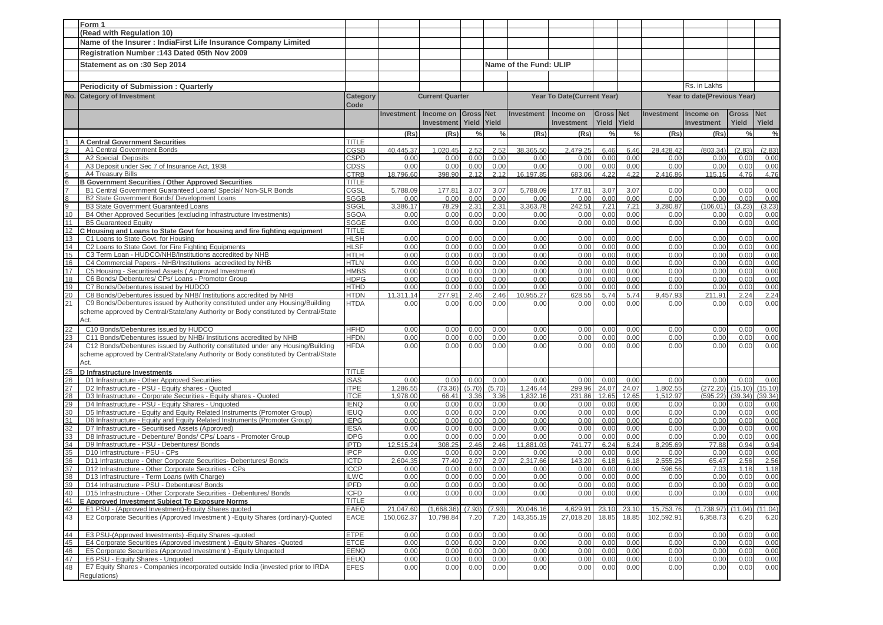|                                  | Form 1                                                                                                                           |                             |                   |                        |                  |              |                        |                            |                  |               |              |                             |               |                |
|----------------------------------|----------------------------------------------------------------------------------------------------------------------------------|-----------------------------|-------------------|------------------------|------------------|--------------|------------------------|----------------------------|------------------|---------------|--------------|-----------------------------|---------------|----------------|
|                                  | (Read with Regulation 10)                                                                                                        |                             |                   |                        |                  |              |                        |                            |                  |               |              |                             |               |                |
|                                  | Name of the Insurer : IndiaFirst Life Insurance Company Limited                                                                  |                             |                   |                        |                  |              |                        |                            |                  |               |              |                             |               |                |
|                                  | Registration Number: 143 Dated 05th Nov 2009                                                                                     |                             |                   |                        |                  |              |                        |                            |                  |               |              |                             |               |                |
|                                  |                                                                                                                                  |                             |                   |                        |                  |              |                        |                            |                  |               |              |                             |               |                |
|                                  | Statement as on :30 Sep 2014                                                                                                     |                             |                   |                        |                  |              | Name of the Fund: ULIP |                            |                  |               |              |                             |               |                |
|                                  |                                                                                                                                  |                             |                   |                        |                  |              |                        |                            |                  |               |              |                             |               |                |
|                                  | <b>Periodicity of Submission: Quarterly</b>                                                                                      |                             |                   |                        |                  |              |                        |                            |                  |               |              | Rs. in Lakhs                |               |                |
| No.                              | <b>Category of Investment</b>                                                                                                    | <b>Category</b>             |                   | <b>Current Quarter</b> |                  |              |                        | Year To Date(Current Year) |                  |               |              | Year to date(Previous Year) |               |                |
|                                  |                                                                                                                                  | Code                        |                   |                        |                  |              |                        |                            |                  |               |              |                             |               |                |
|                                  |                                                                                                                                  |                             | <b>Investment</b> | Income on              | <b>Gross Net</b> |              | <b>Investment</b>      | Income on                  | <b>Gross Net</b> |               | Investment   | Income on                   | <b>Gross</b>  | <b>Net</b>     |
|                                  |                                                                                                                                  |                             |                   | <b>Investment</b>      | Yield            | Yield        |                        | Investment                 | Yield Yield      |               |              | <b>Investment</b>           | Yield         | Yield          |
|                                  |                                                                                                                                  |                             | (Rs)              | (Rs)                   | $\frac{0}{0}$    | $\%$         | (Rs)                   | (Rs)                       | $\frac{0}{0}$    | $\frac{0}{0}$ | (Rs)         | (Rs)                        | $\frac{0}{0}$ | $\%$           |
|                                  | <b>A Central Government Securities</b>                                                                                           | <b>TITLE</b>                |                   |                        |                  |              |                        |                            |                  |               |              |                             |               |                |
|                                  | A1 Central Government Bonds                                                                                                      | CGSB                        | 40.445.37         | 1,020.45               | 2.52             | 2.52         | 38,365.50              | 2,479.25                   | 6.46             | 6.46          | 28.428.42    | (803.34)                    | (2.83)        | (2.83)         |
| $\frac{2}{3}$                    | A2 Special Deposits                                                                                                              | CSPD                        | 0.00              | 0.00                   | 0.00             | 0.00         | 0.00                   | 0.00                       | 0.00             | 0.00          | 0.00         | 0.00                        | 0.00          | 0.00           |
|                                  | A3 Deposit under Sec 7 of Insurance Act, 1938                                                                                    | <b>CDSS</b>                 | 0.00              | 0.00                   | 0.00             | 0.00         | 0.00                   | 0.00                       | 0.00             | 0.00          | 0.00         | 0.00                        | 0.00          | 0.00           |
| ო<br>დ                           | A4 Treasury Bills                                                                                                                | <b>CTRB</b>                 | 18,796.60         | 398.90                 | 2.12             | 2.12         | 16,197.85              | 683.06                     | 4.22             | 4.22          | 2,416.86     | 115.15                      | 4.76          | 4.76           |
|                                  | <b>B Government Securities / Other Approved Securities</b>                                                                       | TITLE                       |                   |                        |                  |              |                        |                            |                  |               |              |                             |               |                |
| $\overline{7}$<br>$\overline{8}$ | B1 Central Government Guaranteed Loans/ Special/ Non-SLR Bonds<br>B2 State Government Bonds/ Development Loans                   | CGSL                        | 5,788.09<br>0.00  | 177.81                 | 3.07<br>0.00     | 3.07         | 5,788.09               | 177.81                     | 3.07             | 3.07<br>0.00  | 0.00<br>0.00 | 0.00<br>0.00                | 0.00<br>0.00  | 0.00           |
| 9                                | <b>B3 State Government Guaranteed Loans</b>                                                                                      | <b>SGGB</b><br><b>SGGL</b>  | 3,386.17          | 0.00<br>78.29          | 2.31             | 0.00<br>2.31 | 0.00<br>3,363.78       | 0.00<br>242.51             | 0.00<br>7.21     | 7.21          | 3,280.87     | (106.01)                    | (3.23)        | 0.00<br>(3.23) |
| 10                               | B4 Other Approved Securities (excluding Infrastructure Investments)                                                              | <b>SGOA</b>                 | 0.00              | 0.00                   | 0.00             | 0.00         | 0.00                   | 0.00                       | 0.00             | 0.00          | 0.00         | 0.00                        | 0.00          | 0.00           |
| 11                               | <b>B5 Guaranteed Equity</b>                                                                                                      | <b>SGGE</b>                 | 0.00              | 0.00                   | 0.00             | 0.00         | 0.00                   | 0.00                       | 0.00             | 0.00          | 0.00         | 0.00                        | 0.00          | 0.00           |
| 12                               | C Housing and Loans to State Govt for housing and fire fighting equipment                                                        | <b>TITLE</b>                |                   |                        |                  |              |                        |                            |                  |               |              |                             |               |                |
| 13                               | C1 Loans to State Govt. for Housing                                                                                              | <b>HLSH</b>                 | 0.00              | 0.00                   | 0.00             | 0.00         | 0.00                   | 0.00                       | 0.00             | 0.00          | 0.00         | 0.00                        | 0.00          | 0.00           |
| 14                               | C2 Loans to State Govt. for Fire Fighting Equipments                                                                             | <b>HLSF</b>                 | 0.00              | 0.00                   | 0.00             | 0.00         | 0.00                   | 0.00                       | 0.00             | 0.00          | 0.00         | 0.00                        | 0.00          | 0.00           |
| 15                               | C3 Term Loan - HUDCO/NHB/Institutions accredited by NHB                                                                          | <b>HTLH</b>                 | 0.00              | 0.00                   | 0.00             | 0.00         | 0.00                   | 0.00                       | 0.00             | 0.00          | 0.00         | 0.00                        | 0.00          | 0.00           |
| 16                               | C4 Commercial Papers - NHB/Institutions accredited by NHB                                                                        | <b>HTLN</b>                 | 0.00              | 0.00                   | 0.00             | 0.00         | 0.00                   | 0.00                       | 0.00             | 0.00          | 0.00         | 0.00                        | 0.00          | 0.00           |
| 17                               | C5 Housing - Securitised Assets (Approved Investment)                                                                            | <b>HMBS</b>                 | 0.00              | 0.00                   | 0.00             | 0.00         | 0.00                   | 0.00                       | 0.00             | 0.00          | 0.00         | 0.00                        | 0.00          | 0.00           |
| 18<br>19                         | C6 Bonds/ Debentures/ CPs/ Loans - Promotor Group<br>C7 Bonds/Debentures issued by HUDCO                                         | <b>HDPG</b><br><b>HTHD</b>  | 0.00<br>0.00      | 0.00<br>0.00           | 0.00<br>0.00     | 0.00<br>0.00 | 0.00<br>0.00           | 0.00<br>0.00               | 0.00<br>0.00     | 0.00<br>0.00  | 0.00<br>0.00 | 0.00<br>0.00                | 0.00<br>0.00  | 0.00<br>0.00   |
|                                  | C8 Bonds/Debentures issued by NHB/ Institutions accredited by NHB                                                                | <b>HTDN</b>                 | 11,311.14         | 277.91                 | 2.46             | 2.46         | 10,955.27              | 628.55                     | 5.74             | 5.74          | 9,457.93     | 211.91                      | 2.24          | 2.24           |
| $\frac{20}{21}$                  | C9 Bonds/Debentures issued by Authority constituted under any Housing/Building                                                   | <b>HTDA</b>                 | 0.00              | 0.00                   | 0.00             | 0.00         | 0.00                   | 0.00                       | 0.00             | 0.00          | 0.00         | 0.00                        | 0.00          | 0.00           |
|                                  | scheme approved by Central/State/any Authority or Body constituted by Central/State                                              |                             |                   |                        |                  |              |                        |                            |                  |               |              |                             |               |                |
|                                  | Act.                                                                                                                             |                             |                   |                        |                  |              |                        |                            |                  |               |              |                             |               |                |
| 22                               | C10 Bonds/Debentures issued by HUDCO                                                                                             | <b>HFHD</b>                 | 0.00              | 0.00                   | 0.00             | 0.00         | 0.00                   | 0.00                       | 0.00             | 0.00          | 0.00         | 0.00                        | 0.00          | 0.00           |
| 23                               | C11 Bonds/Debentures issued by NHB/ Institutions accredited by NHB                                                               | <b>HFDN</b>                 | 0.00              | 0.00                   | 0.00             | 0.00         | 0.00                   | 0.00                       | 0.00             | 0.00          | 0.00         | 0.00                        | 0.00          | 0.00           |
| 24                               | C12 Bonds/Debentures issued by Authority constituted under any Housing/Building                                                  | <b>HFDA</b>                 | 0.00              | 0.00                   | 0.00             | 0.00         | 0.00                   | 0.00                       | 0.00             | 0.00          | 0.00         | 0.00                        | 0.00          | 0.00           |
|                                  | scheme approved by Central/State/any Authority or Body constituted by Central/State                                              |                             |                   |                        |                  |              |                        |                            |                  |               |              |                             |               |                |
|                                  | Act.                                                                                                                             |                             |                   |                        |                  |              |                        |                            |                  |               |              |                             |               |                |
| 25                               | <b>D</b> Infrastructure Investments                                                                                              | TITLE                       |                   |                        |                  |              |                        |                            |                  |               |              |                             |               |                |
| 26                               | D1 Infrastructure - Other Approved Securities                                                                                    | <b>ISAS</b>                 | 0.00              | 0.00                   | 0.00             | 0.00         | 0.00                   | 0.00                       | 0.00             | 0.00          | 0.00         | 0.00                        | 0.00          | 0.00           |
| 27                               | D2 Infrastructure - PSU - Equity shares - Quoted                                                                                 | <b>ITPE</b>                 | 1,286.55          | (73.36)                | (5.70)           | (5.70)       | 1,246.44               | 299.96                     | 24.07            | 24.07         | 1,802.55     | (272.20)                    | (15.10)       | (15.10)        |
| 28                               | D3 Infrastructure - Corporate Securities - Equity shares - Quoted                                                                | <b>ITCE</b>                 | 1,978.00          | 66.41                  | 3.36             | 3.36         | 1,832.16               | 231.86                     | 12.65            | 12.65         | 1,512.97     | (595.22)                    | (39.34)       | (39.34)        |
| 29<br>30                         | D4 Infrastructure - PSU - Equity Shares - Unquoted<br>D5 Infrastructure - Equity and Equity Related Instruments (Promoter Group) | <b>IENQ</b>                 | 0.00<br>0.00      | 0.00                   | 0.00<br>0.00     | 0.00<br>0.00 | 0.00<br>0.00           | 0.00<br>0.00               | 0.00<br>0.00     | 0.00<br>0.00  | 0.00<br>0.00 | 0.00                        | 0.00<br>0.00  | 0.00<br>0.00   |
| 31                               | D6 Infrastructure - Equity and Equity Related Instruments (Promoter Group)                                                       | <b>IEUQ</b><br><b>IEPG</b>  | 0.00              | 0.00<br>0.00           | 0.00             | 0.00         | 0.00                   | 0.00                       | 0.00             | 0.00          | 0.00         | 0.00<br>0.00                | 0.00          | 0.00           |
| 32                               | D7 Infrastructure - Securitised Assets (Approved)                                                                                | <b>IESA</b>                 | 0.00              | 0.00                   | 0.00             | 0.00         | 0.00                   | 0.00                       | 0.00             | 0.00          | 0.00         | 0.00                        | 0.00          | 0.00           |
| 33                               | D8 Infrastructure - Debenture/ Bonds/ CPs/ Loans - Promoter Group                                                                | <b>IDPG</b>                 | 0.00              | 0.00                   | 0.00             | 0.00         | 0.00                   | 0.00                       | 0.00             | 0.00          | 0.00         | 0.00                        | 0.00          | 0.00           |
| 34                               | D9 Infrastructure - PSU - Debentures/ Bonds                                                                                      | <b>IPTD</b>                 | 12.515.24         | 308.25                 | 2.46             | 2.46         | 11.881.03              | 741.77                     | 6.24             | 6.24          | 8.295.69     | 77.88                       | 0.94          | 0.94           |
| 35                               | D10 Infrastructure - PSU - CPs                                                                                                   | <b>IPCP</b>                 | 0.00              | 0.00                   | 0.00             | 0.00         | 0.00                   | 0.00                       | 0.00             | 0.00          | 0.00         | 0.00                        | 0.00          | 0.00           |
| 36                               | D11 Infrastructure - Other Corporate Securities- Debentures/ Bonds                                                               | <b>ICTD</b>                 | 2,604.35          | 77.40                  | 2.97             | 2.97         | 2,317.66               | 143.20                     | 6.18             | 6.18          | 2,555.25     | 65.47                       | 2.56          | 2.56           |
| 37                               | D12 Infrastructure - Other Corporate Securities - CPs                                                                            | <b>ICCP</b>                 | 0.00              | 0.00                   | 0.00             | 0.00         | 0.00                   | 0.00                       | 0.00             | 0.00          | 596.56       | 7.03                        | 1.18          | 1.18           |
| 38                               | D13 Infrastructure - Term Loans (with Charge)                                                                                    | <b>ILWC</b>                 | 0.00              | 0.00                   | 0.00             | 0.00         | 0.00                   | 0.00                       | 0.00             | 0.00          | 0.00         | 0.00                        | 0.00          | 0.00           |
| 39<br>40                         | D14 Infrastructure - PSU - Debentures/ Bonds                                                                                     | <b>IPFD</b>                 | 0.00              | 0.00                   | 0.00             | 0.00         | 0.00                   | 0.00                       | 0.00             | 0.00          | 0.00         | 0.00                        | 0.00          | 0.00           |
| 41                               | D15 Infrastructure - Other Corporate Securities - Debentures/ Bonds<br>E Approved Investment Subject To Exposure Norms           | <b>ICFD</b><br><b>TITLE</b> | 0.00              | 0.00                   | 0.00             | 0.00         | 0.00                   | 0.00                       | 0.00             | 0.00          | 0.00         | 0.00                        | 0.00          | 0.00           |
| 42                               | E1 PSU - (Approved Investment)-Equity Shares quoted                                                                              | EAEQ                        | 21,047.60         | (1,668.36)             | (7.93)           | (7.93)       | 20,046.16              | 4,629.91                   | 23.10            | 23.10         | 15,753.76    | (1,738.97)                  | (11.04)       | (11.04)        |
| 43                               | E2 Corporate Securities (Approved Investment) - Equity Shares (ordinary)-Quoted                                                  | EACE                        | 150,062.37        | 10,798.84              | 7.20             | 7.20         | 143,355.19             | 27,018.20                  | 18.85            | 18.85         | 102,592.91   | 6,358.73                    | 6.20          | 6.20           |
|                                  |                                                                                                                                  |                             |                   |                        |                  |              |                        |                            |                  |               |              |                             |               |                |
| 44                               | E3 PSU-(Approved Investments) - Equity Shares - quoted                                                                           | <b>ETPE</b>                 | 0.00              | 0.00                   | 0.00             | 0.00         | 0.00                   | 0.00                       | 0.00             | 0.00          | 0.00         | 0.00                        | 0.00          | 0.00           |
| 45                               | E4 Corporate Securities (Approved Investment) - Equity Shares - Quoted                                                           | <b>ETCE</b>                 | 0.00              | 0.00                   | 0.00             | 0.00         | 0.00                   | 0.00                       | 0.00             | 0.00          | 0.00         | 0.00                        | 0.00          | 0.00           |
| 46                               | E5 Corporate Securities (Approved Investment) - Equity Unquoted                                                                  | <b>EENQ</b>                 | 0.00              | 0.00                   | 0.00             | 0.00         | 0.00                   | 0.00                       | 0.00             | 0.00          | 0.00         | 0.00                        | 0.00          | 0.00           |
| 47                               | E6 PSU - Equity Shares - Unquoted                                                                                                | <b>EEUQ</b>                 | 0.00              | 0.00                   | 0.00             | 0.00         | 0.00                   | 0.00                       | 0.00             | 0.00          | 0.00         | 0.00                        | 0.00          | 0.00           |
| 48                               | E7 Equity Shares - Companies incorporated outside India (invested prior to IRDA                                                  | <b>EFES</b>                 | 0.00              | 0.00                   | 0.00             | 0.00         | 0.00                   | 0.00                       | 0.00             | 0.00          | 0.00         | 0.00                        | 0.00          | 0.00           |
|                                  | Regulations)                                                                                                                     |                             |                   |                        |                  |              |                        |                            |                  |               |              |                             |               |                |